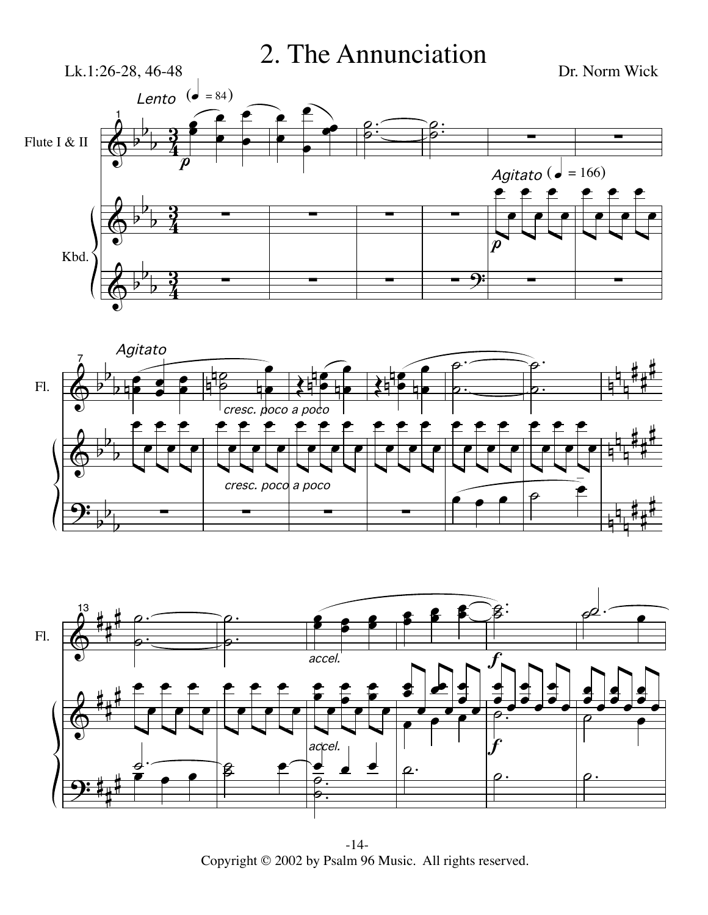





-14- Copyright © 2002 by Psalm 96 Music. All rights reserved.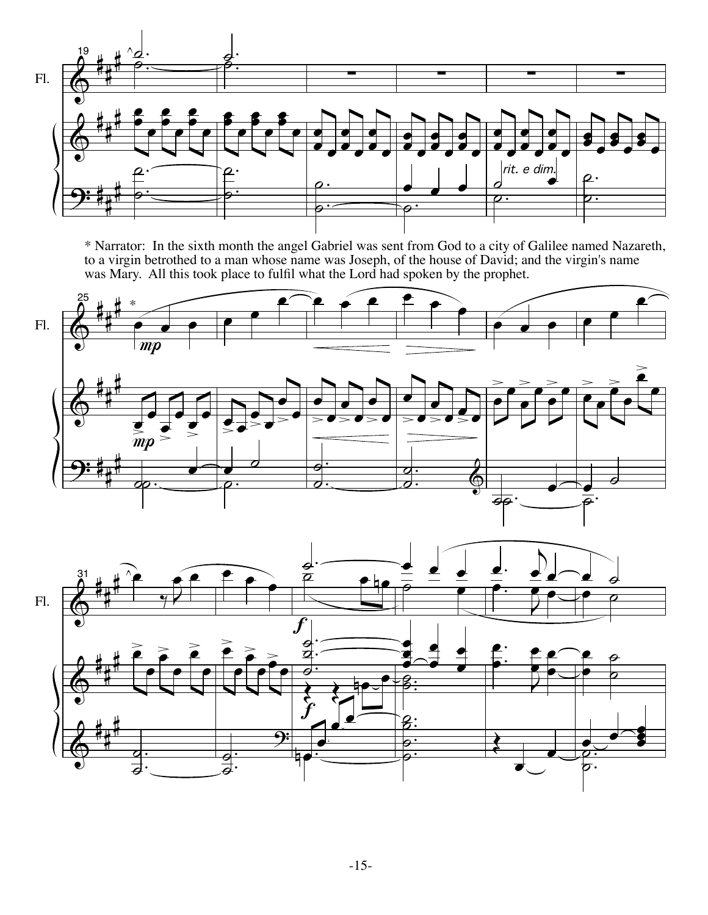

\* Narrator: In the sixth month the angel Gabriel was sent from God to a city of Galilee named Nazareth, to a virgin betrothed to a man whose name was Joseph, of the house of David; and the virgin's name was Mary. All this took place to fulfil what the Lord had spoken by the prophet.

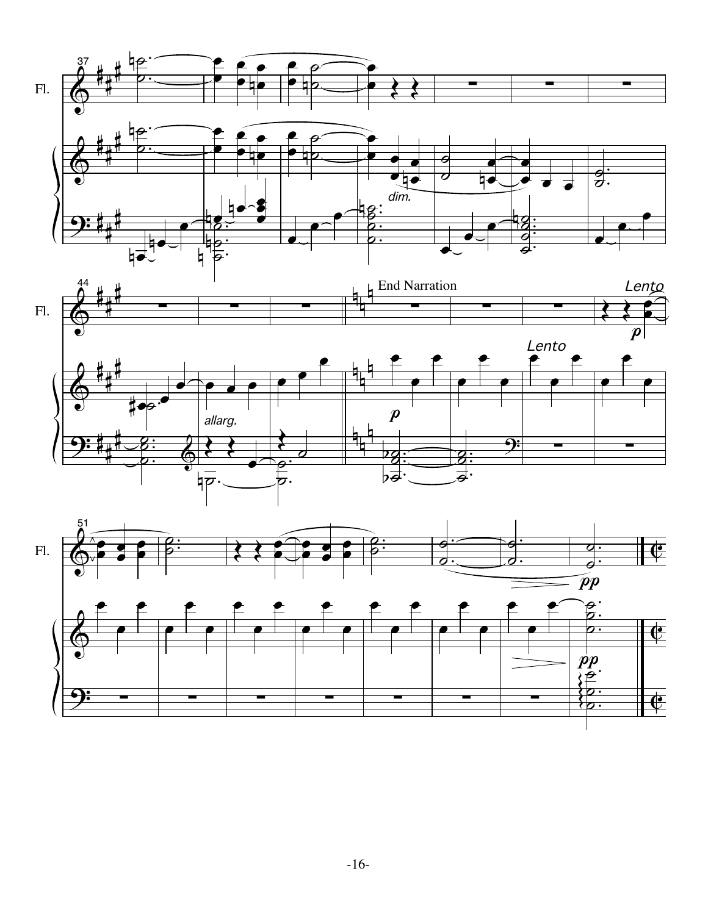



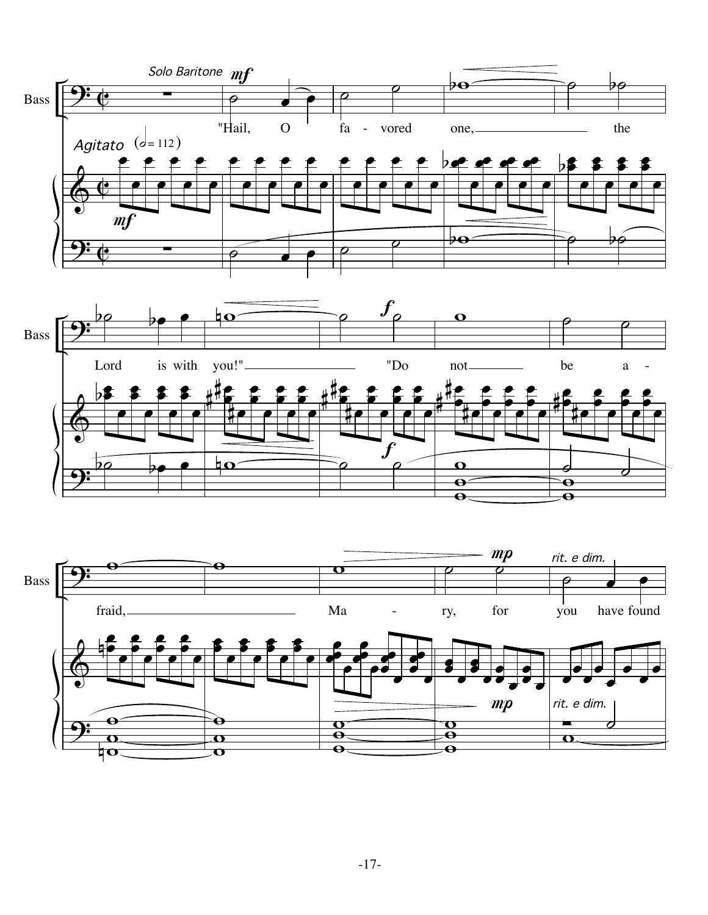

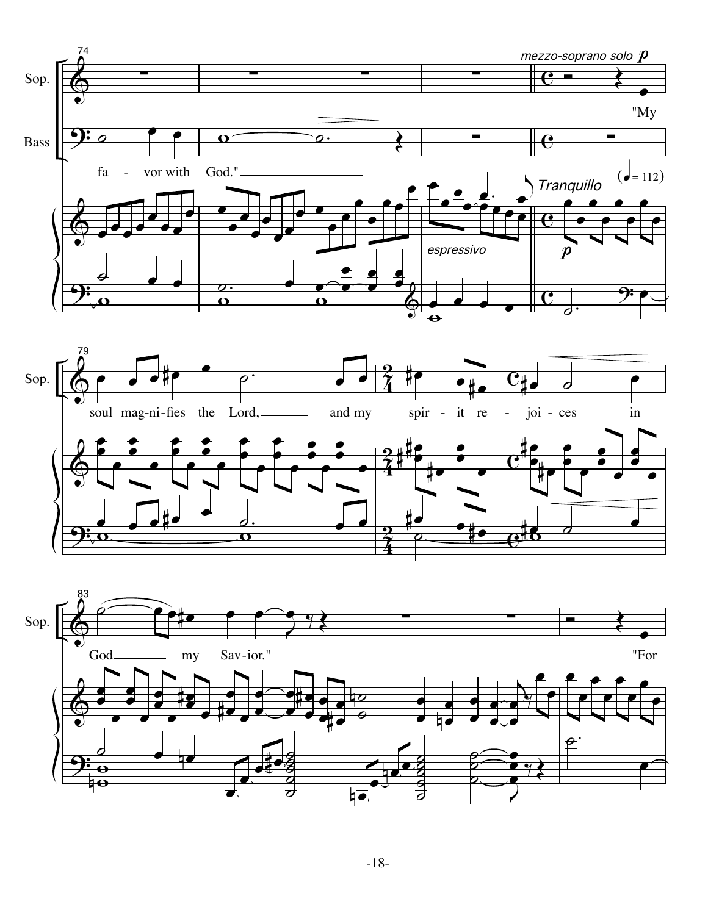



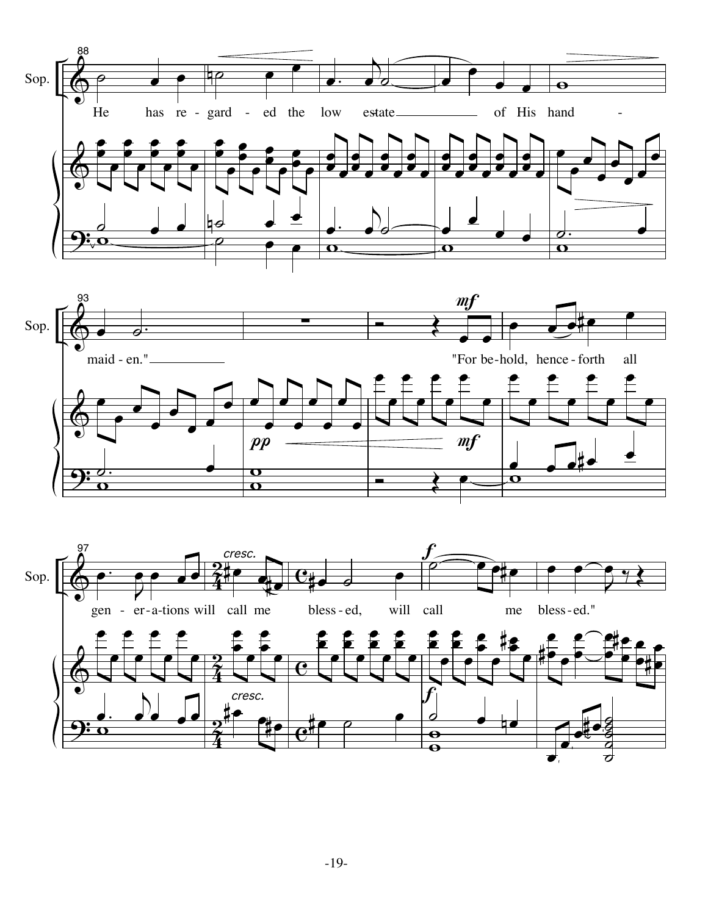



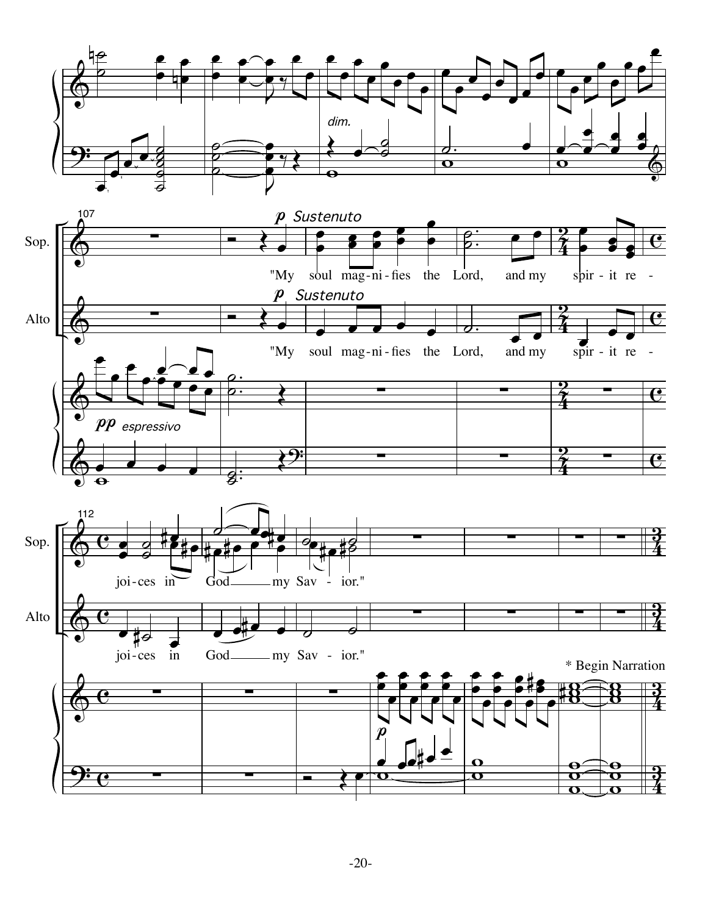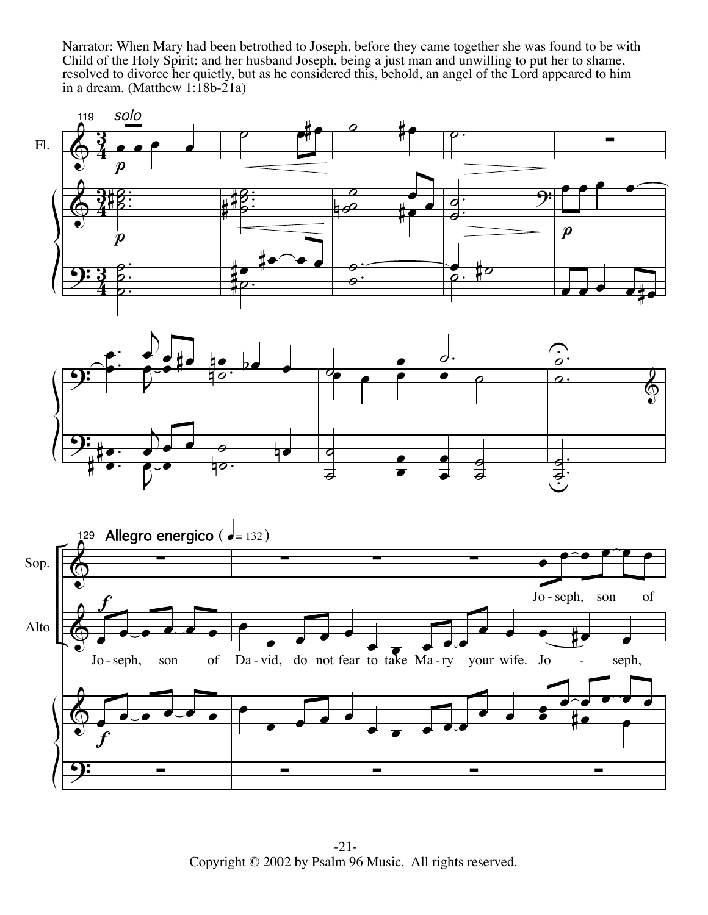Narrator: When Mary had been betrothed to Joseph, before they came together she was found to be with Child of the Holy Spirit; and her husband Joseph, being a just man and unwilling to put her to shame, resolved to divorce her quietly, but as he considered this, behold, an angel of the Lord appeared to him in a dream. (Matthew  $1:\overline{18b-21a}$ )







-21- Copyright © 2002 by Psalm 96 Music. All rights reserved.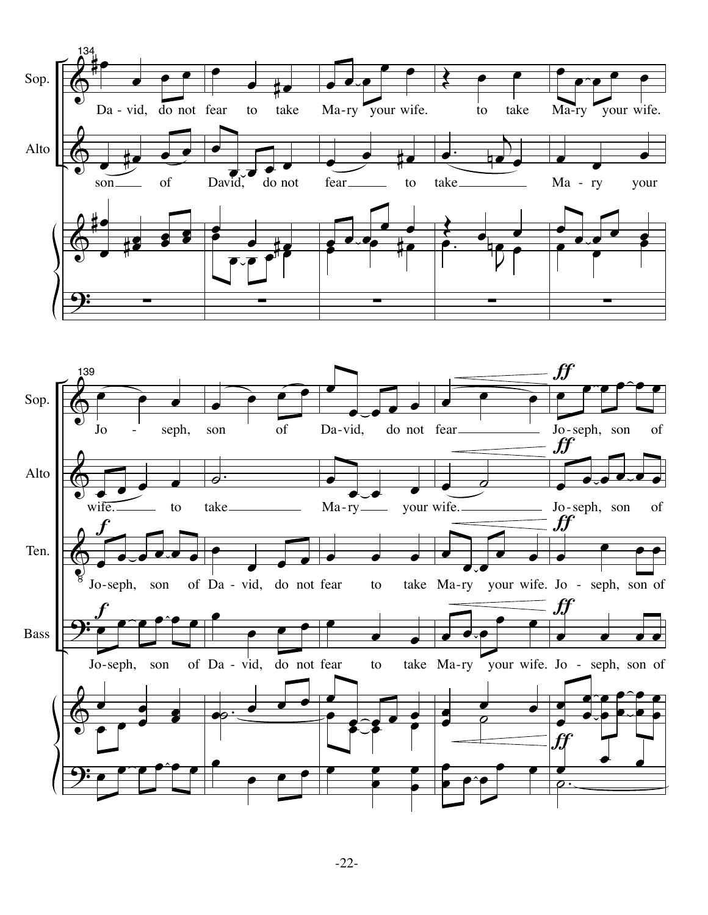

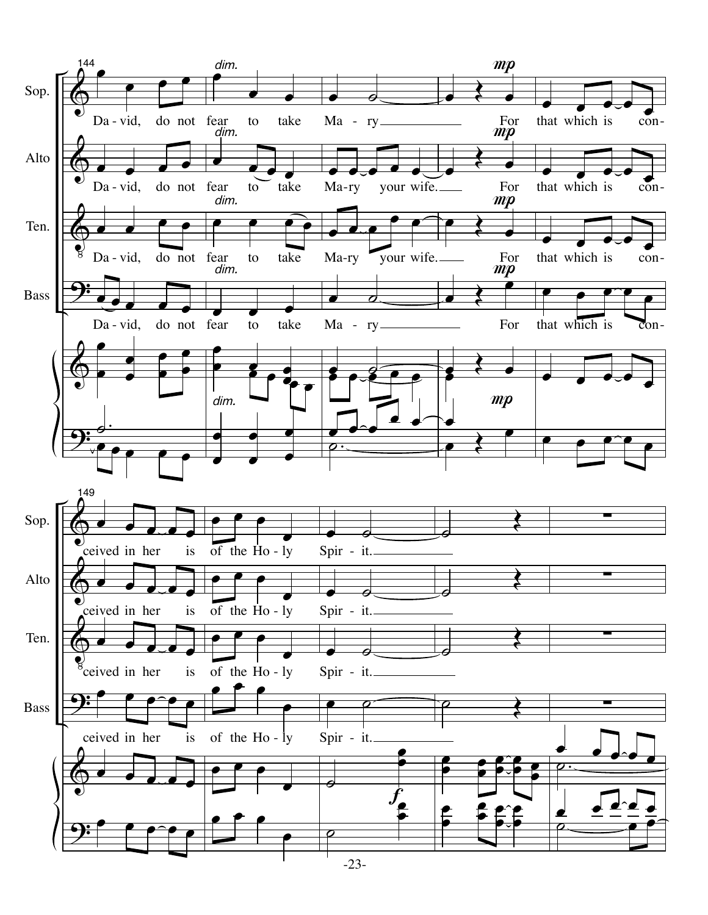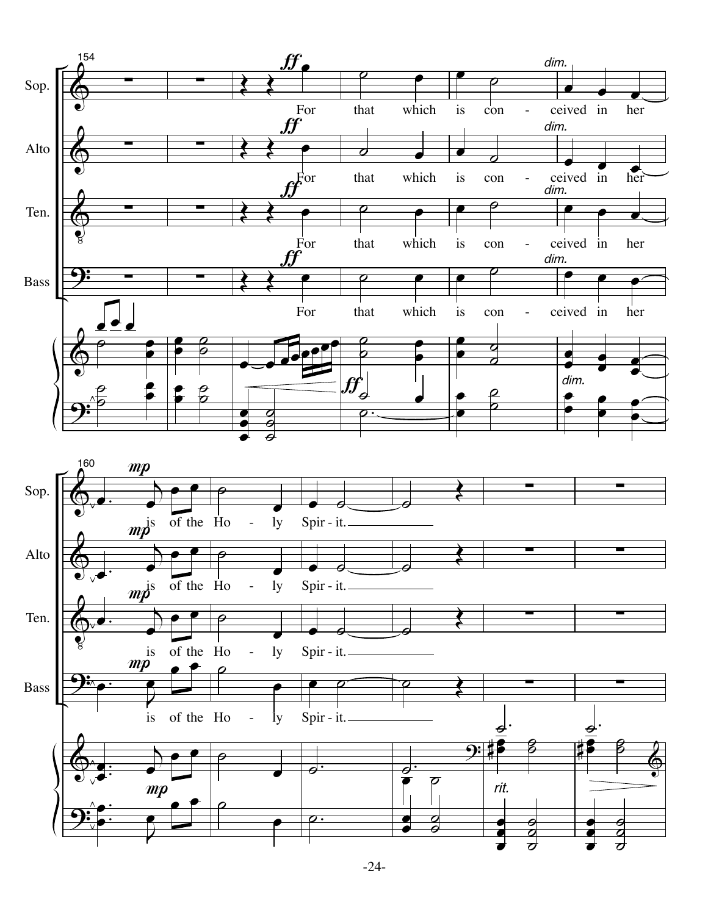